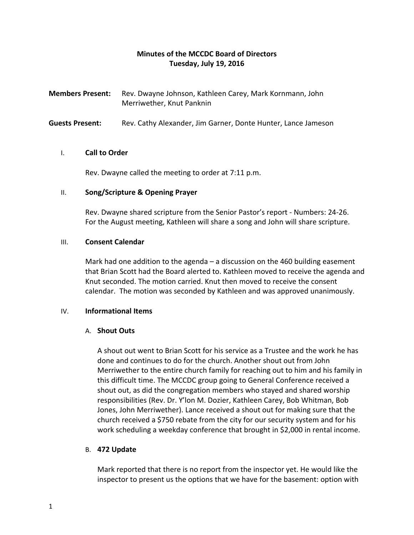# **Minutes of the MCCDC Board of Directors Tuesday, July 19, 2016**

**Members Present:** Rev. Dwayne Johnson, Kathleen Carey, Mark Kornmann, John Merriwether, Knut Panknin

**Guests Present:** Rev. Cathy Alexander, Jim Garner, Donte Hunter, Lance Jameson

# I. **Call to Order**

Rev. Dwayne called the meeting to order at 7:11 p.m.

### II. **Song/Scripture & Opening Prayer**

Rev. Dwayne shared scripture from the Senior Pastor's report - Numbers: 24-26. For the August meeting, Kathleen will share a song and John will share scripture.

### III. **Consent Calendar**

Mark had one addition to the agenda – a discussion on the 460 building easement that Brian Scott had the Board alerted to. Kathleen moved to receive the agenda and Knut seconded. The motion carried. Knut then moved to receive the consent calendar. The motion was seconded by Kathleen and was approved unanimously.

# IV. **Informational Items**

#### A. **Shout Outs**

A shout out went to Brian Scott for his service as a Trustee and the work he has done and continues to do for the church. Another shout out from John Merriwether to the entire church family for reaching out to him and his family in this difficult time. The MCCDC group going to General Conference received a shout out, as did the congregation members who stayed and shared worship responsibilities (Rev. Dr. Y'lon M. Dozier, Kathleen Carey, Bob Whitman, Bob Jones, John Merriwether). Lance received a shout out for making sure that the church received a \$750 rebate from the city for our security system and for his work scheduling a weekday conference that brought in \$2,000 in rental income.

# B. **472 Update**

Mark reported that there is no report from the inspector yet. He would like the inspector to present us the options that we have for the basement: option with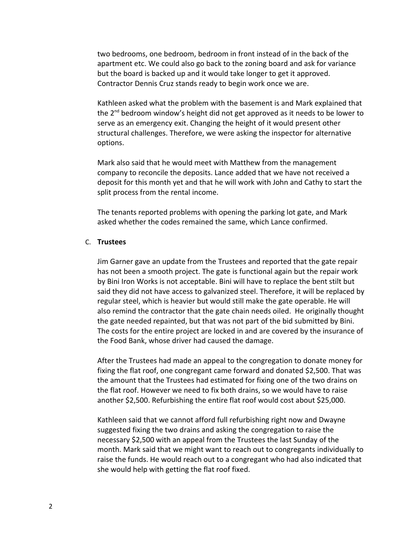two bedrooms, one bedroom, bedroom in front instead of in the back of the apartment etc. We could also go back to the zoning board and ask for variance but the board is backed up and it would take longer to get it approved. Contractor Dennis Cruz stands ready to begin work once we are.

Kathleen asked what the problem with the basement is and Mark explained that the  $2^{nd}$  bedroom window's height did not get approved as it needs to be lower to serve as an emergency exit. Changing the height of it would present other structural challenges. Therefore, we were asking the inspector for alternative options.

Mark also said that he would meet with Matthew from the management company to reconcile the deposits. Lance added that we have not received a deposit for this month yet and that he will work with John and Cathy to start the split process from the rental income.

The tenants reported problems with opening the parking lot gate, and Mark asked whether the codes remained the same, which Lance confirmed.

### C. **Trustees**

Jim Garner gave an update from the Trustees and reported that the gate repair has not been a smooth project. The gate is functional again but the repair work by Bini Iron Works is not acceptable. Bini will have to replace the bent stilt but said they did not have access to galvanized steel. Therefore, it will be replaced by regular steel, which is heavier but would still make the gate operable. He will also remind the contractor that the gate chain needs oiled. He originally thought the gate needed repainted, but that was not part of the bid submitted by Bini. The costs for the entire project are locked in and are covered by the insurance of the Food Bank, whose driver had caused the damage.

After the Trustees had made an appeal to the congregation to donate money for fixing the flat roof, one congregant came forward and donated \$2,500. That was the amount that the Trustees had estimated for fixing one of the two drains on the flat roof. However we need to fix both drains, so we would have to raise another \$2,500. Refurbishing the entire flat roof would cost about \$25,000.

Kathleen said that we cannot afford full refurbishing right now and Dwayne suggested fixing the two drains and asking the congregation to raise the necessary \$2,500 with an appeal from the Trustees the last Sunday of the month. Mark said that we might want to reach out to congregants individually to raise the funds. He would reach out to a congregant who had also indicated that she would help with getting the flat roof fixed.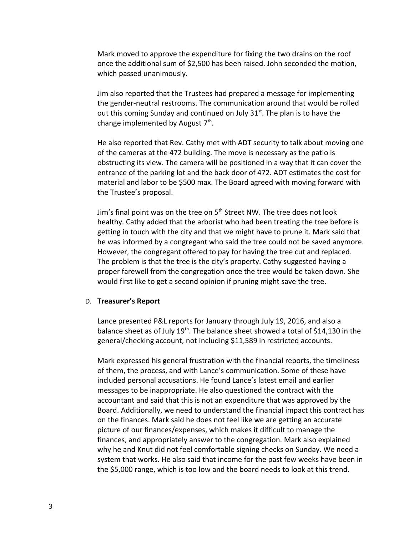Mark moved to approve the expenditure for fixing the two drains on the roof once the additional sum of \$2,500 has been raised. John seconded the motion, which passed unanimously.

Jim also reported that the Trustees had prepared a message for implementing the gender-neutral restrooms. The communication around that would be rolled out this coming Sunday and continued on July  $31<sup>st</sup>$ . The plan is to have the change implemented by August  $7<sup>th</sup>$ .

He also reported that Rev. Cathy met with ADT security to talk about moving one of the cameras at the 472 building. The move is necessary as the patio is obstructing its view. The camera will be positioned in a way that it can cover the entrance of the parking lot and the back door of 472. ADT estimates the cost for material and labor to be \$500 max. The Board agreed with moving forward with the Trustee's proposal.

Jim's final point was on the tree on  $5<sup>th</sup>$  Street NW. The tree does not look healthy. Cathy added that the arborist who had been treating the tree before is getting in touch with the city and that we might have to prune it. Mark said that he was informed by a congregant who said the tree could not be saved anymore. However, the congregant offered to pay for having the tree cut and replaced. The problem is that the tree is the city's property. Cathy suggested having a proper farewell from the congregation once the tree would be taken down. She would first like to get a second opinion if pruning might save the tree.

#### D. **Treasurer's Report**

Lance presented P&L reports for January through July 19, 2016, and also a balance sheet as of July  $19<sup>th</sup>$ . The balance sheet showed a total of \$14,130 in the general/checking account, not including \$11,589 in restricted accounts.

Mark expressed his general frustration with the financial reports, the timeliness of them, the process, and with Lance's communication. Some of these have included personal accusations. He found Lance's latest email and earlier messages to be inappropriate. He also questioned the contract with the accountant and said that this is not an expenditure that was approved by the Board. Additionally, we need to understand the financial impact this contract has on the finances. Mark said he does not feel like we are getting an accurate picture of our finances/expenses, which makes it difficult to manage the finances, and appropriately answer to the congregation. Mark also explained why he and Knut did not feel comfortable signing checks on Sunday. We need a system that works. He also said that income for the past few weeks have been in the \$5,000 range, which is too low and the board needs to look at this trend.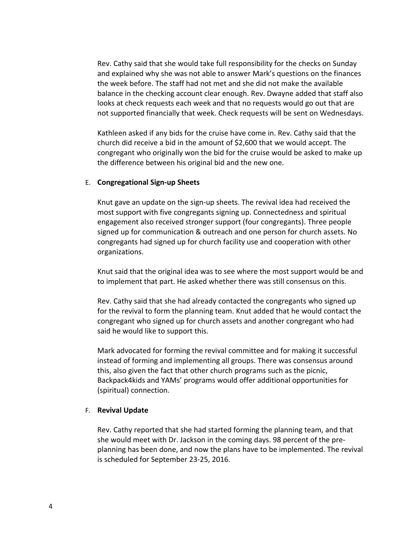Rev. Cathy said that she would take full responsibility for the checks on Sunday and explained why she was not able to answer Mark's questions on the finances the week before. The staff had not met and she did not make the available balance in the checking account clear enough. Rev. Dwayne added that staff also looks at check requests each week and that no requests would go out that are not supported financially that week. Check requests will be sent on Wednesdays.

Kathleen asked if any bids for the cruise have come in. Rev. Cathy said that the church did receive a bid in the amount of \$2,600 that we would accept. The congregant who originally won the bid for the cruise would be asked to make up the difference between his original bid and the new one.

### E. **Congregational Sign-up Sheets**

Knut gave an update on the sign-up sheets. The revival idea had received the most support with five congregants signing up. Connectedness and spiritual engagement also received stronger support (four congregants). Three people signed up for communication & outreach and one person for church assets. No congregants had signed up for church facility use and cooperation with other organizations.

Knut said that the original idea was to see where the most support would be and to implement that part. He asked whether there was still consensus on this.

Rev. Cathy said that she had already contacted the congregants who signed up for the revival to form the planning team. Knut added that he would contact the congregant who signed up for church assets and another congregant who had said he would like to support this.

Mark advocated for forming the revival committee and for making it successful instead of forming and implementing all groups. There was consensus around this, also given the fact that other church programs such as the picnic, Backpack4kids and YAMs' programs would offer additional opportunities for (spiritual) connection.

#### F. **Revival Update**

Rev. Cathy reported that she had started forming the planning team, and that she would meet with Dr. Jackson in the coming days. 98 percent of the preplanning has been done, and now the plans have to be implemented. The revival is scheduled for September 23-25, 2016.